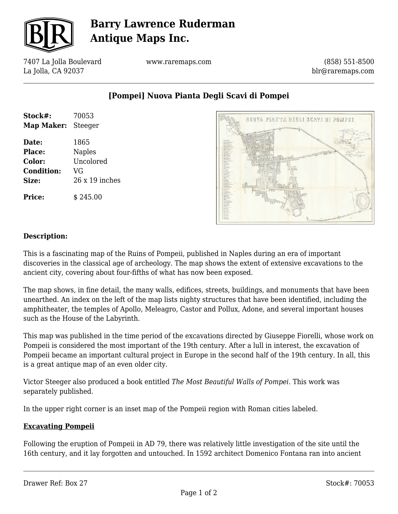

# **Barry Lawrence Ruderman Antique Maps Inc.**

7407 La Jolla Boulevard La Jolla, CA 92037

www.raremaps.com

(858) 551-8500 blr@raremaps.com

**[Pompei] Nuova Pianta Degli Scavi di Pompei**

| Stock#:<br>Map Maker: | 70053<br>Steeger |
|-----------------------|------------------|
| Date:                 | 1865             |
| <b>Place:</b>         | <b>Naples</b>    |
| Color:                | Uncolored        |
| <b>Condition:</b>     | VG               |
| Size:                 | 26 x 19 inches   |
| <b>Price:</b>         | \$245.00         |



### **Description:**

This is a fascinating map of the Ruins of Pompeii, published in Naples during an era of important discoveries in the classical age of archeology. The map shows the extent of extensive excavations to the ancient city, covering about four-fifths of what has now been exposed.

The map shows, in fine detail, the many walls, edifices, streets, buildings, and monuments that have been unearthed. An index on the left of the map lists nighty structures that have been identified, including the amphitheater, the temples of Apollo, Meleagro, Castor and Pollux, Adone, and several important houses such as the House of the Labyrinth.

This map was published in the time period of the excavations directed by Giuseppe Fiorelli, whose work on Pompeii is considered the most important of the 19th century. After a lull in interest, the excavation of Pompeii became an important cultural project in Europe in the second half of the 19th century. In all, this is a great antique map of an even older city.

Victor Steeger also produced a book entitled *The Most Beautiful Walls of Pompei.* This work was separately published.

In the upper right corner is an inset map of the Pompeii region with Roman cities labeled.

### **Excavating Pompeii**

Following the eruption of Pompeii in AD 79, there was relatively little investigation of the site until the 16th century, and it lay forgotten and untouched. In 1592 architect Domenico Fontana ran into ancient